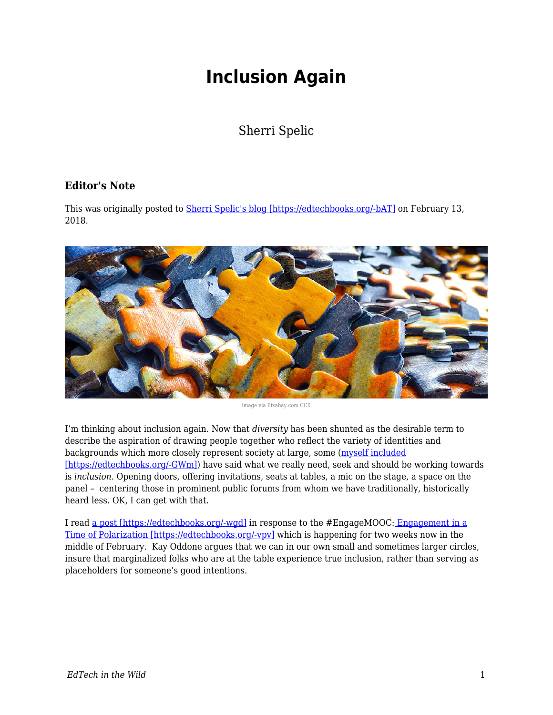## **Inclusion Again**

## Sherri Spelic

## **Editor's Note**

This was originally posted to **Sherri Spelic's blog [https://edtechbooks.org/-bAT]** on February 13, 2018.



image via Pixabay.com CC0

I'm thinking about inclusion again. Now that *diversity* has been shunted as the desirable term to describe the aspiration of drawing people together who reflect the variety of identities and backgrounds which more closely represent society at large, some ([myself included](http://www.digitalpedagogylab.com/digital-pedagogy-lab-2016-institute-aftermath-future-tense/) [\[https://edtechbooks.org/-GWm\]](http://www.digitalpedagogylab.com/digital-pedagogy-lab-2016-institute-aftermath-future-tense/)) have said what we really need, seek and should be working towards is *inclusion*. Opening doors, offering invitations, seats at tables, a mic on the stage, a space on the panel – centering those in prominent public forums from whom we have traditionally, historically heard less. OK, I can get with that.

I read [a post \[https://edtechbooks.org/-wgd\]](http://www.linkinglearning.com.au/engagement-participation-and-creating-a-space-at-the-table-engagemooc/) in response to the #EngageMOOC[: Engagement in a](https://www.edx.org/course/engagement-time-polarization-davidsonx-davnowxpolarization) [Time of Polarization \[https://edtechbooks.org/-vpv\]](https://www.edx.org/course/engagement-time-polarization-davidsonx-davnowxpolarization) which is happening for two weeks now in the middle of February. Kay Oddone argues that we can in our own small and sometimes larger circles, insure that marginalized folks who are at the table experience true inclusion, rather than serving as placeholders for someone's good intentions.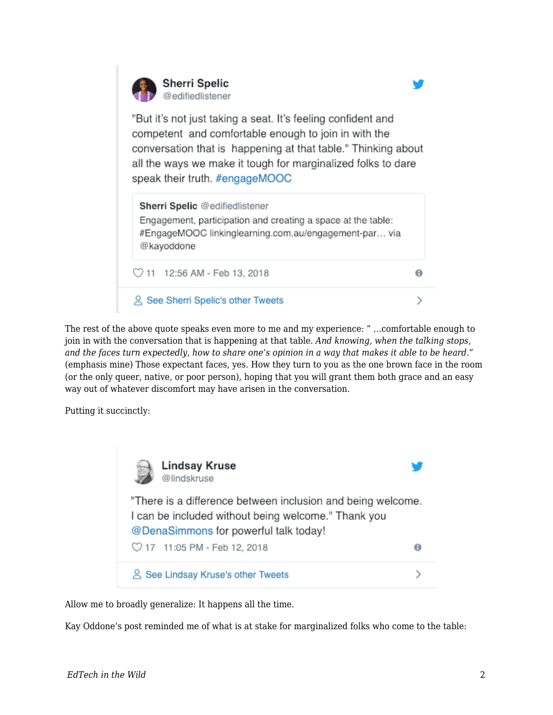

The rest of the above quote speaks even more to me and my experience: " …comfortable enough to join in with the conversation that is happening at that table. *And knowing, when the talking stops, and the faces turn expectedly, how to share one's opinion in a way that makes it able to be heard*." (emphasis mine) Those expectant faces, yes. How they turn to you as the one brown face in the room (or the only queer, native, or poor person), hoping that you will grant them both grace and an easy way out of whatever discomfort may have arisen in the conversation.

Putting it succinctly:



Allow me to broadly generalize: It happens all the time.

Kay Oddone's post reminded me of what is at stake for marginalized folks who come to the table: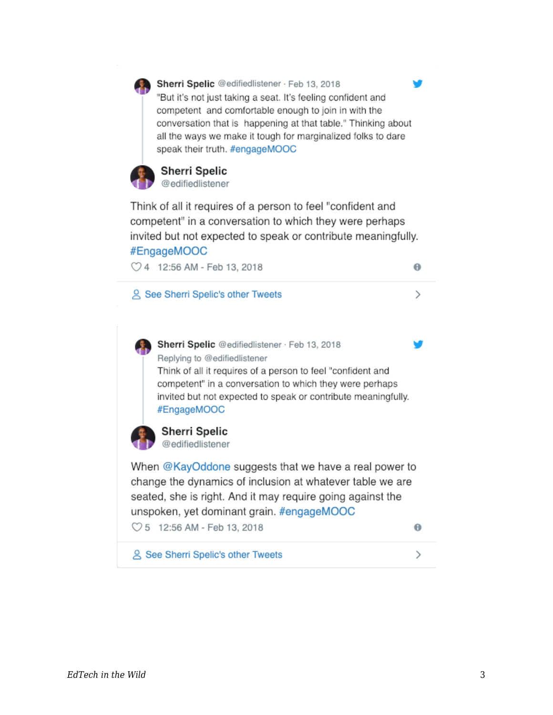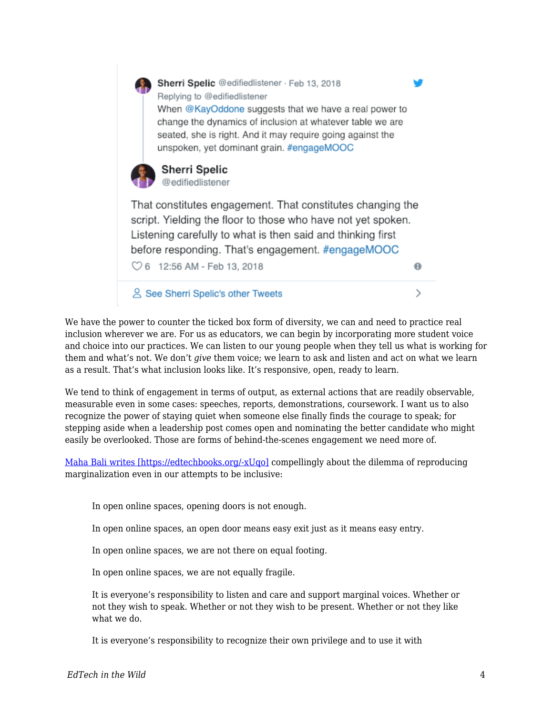

We have the power to counter the ticked box form of diversity, we can and need to practice real inclusion wherever we are. For us as educators, we can begin by incorporating more student voice and choice into our practices. We can listen to our young people when they tell us what is working for them and what's not. We don't *give* them voice; we learn to ask and listen and act on what we learn as a result. That's what inclusion looks like. It's responsive, open, ready to learn.

We tend to think of engagement in terms of output, as external actions that are readily observable, measurable even in some cases: speeches, reports, demonstrations, coursework. I want us to also recognize the power of staying quiet when someone else finally finds the courage to speak; for stepping aside when a leadership post comes open and nominating the better candidate who might easily be overlooked. Those are forms of behind-the-scenes engagement we need more of.

[Maha Bali writes \[https://edtechbooks.org/-xUqo\]](https://blog.mahabali.me/pedagogy/critical-pedagogy/reproducing-marginality/?utm_campaign=shareaholic&utm_medium=twitter&utm_source=socialnetwork) compellingly about the dilemma of reproducing marginalization even in our attempts to be inclusive:

In open online spaces, opening doors is not enough.

In open online spaces, an open door means easy exit just as it means easy entry.

In open online spaces, we are not there on equal footing.

In open online spaces, we are not equally fragile.

It is everyone's responsibility to listen and care and support marginal voices. Whether or not they wish to speak. Whether or not they wish to be present. Whether or not they like what we do.

It is everyone's responsibility to recognize their own privilege and to use it with